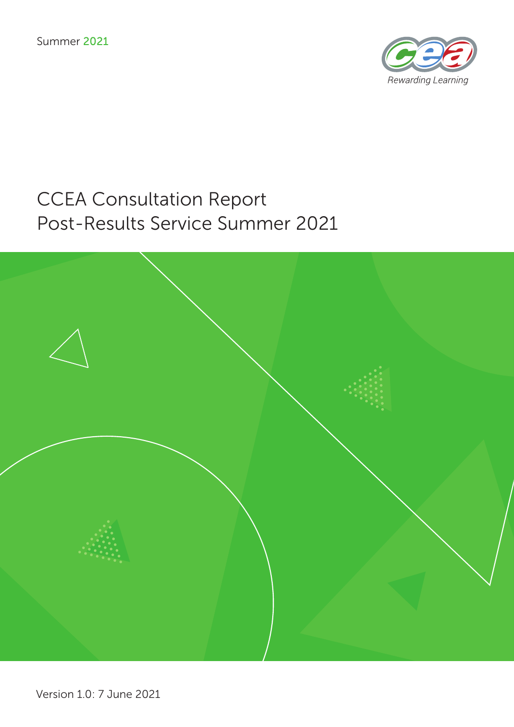

# CCEA Consultation Report Post-Results Service Summer 2021

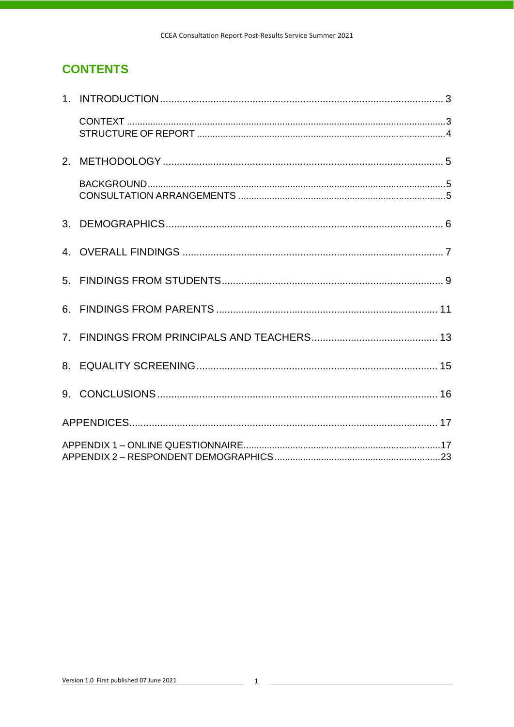# **CONTENTS**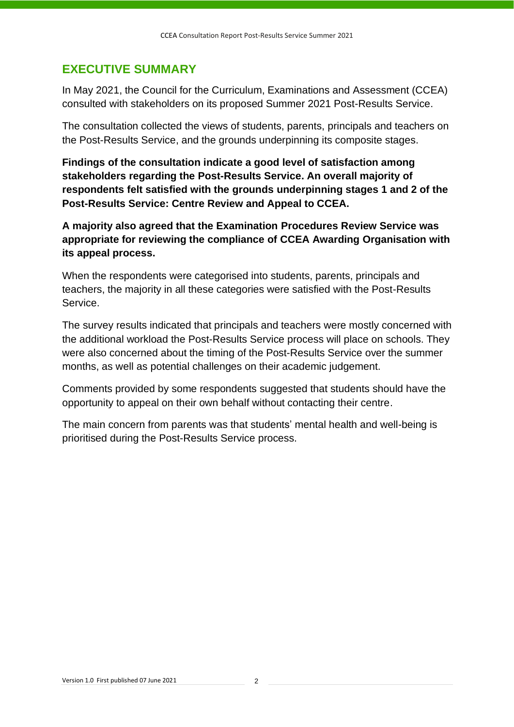# **[EXECUTIVE SUMMARY](#page-24-1)**

[In May 2021, the](#page-24-1) Council for the Curriculum, Examinations and Assessment (CCEA) consulted with stakeholders on its proposed Summer 2021 Post-Results Service.

The consultation collected the views of students, parents, principals and teachers on the Post-Results Service, and the grounds underpinning its composite stages.

**Findings of the consultation indicate a good level of satisfaction among stakeholders regarding the Post-Results Service. An overall majority of respondents felt satisfied with the grounds underpinning stages 1 and 2 of the Post-Results Service: Centre Review and Appeal to CCEA.** 

**A majority also agreed that the Examination Procedures Review Service was appropriate for reviewing the compliance of CCEA Awarding Organisation with its appeal process.**

When the respondents were categorised into students, parents, principals and teachers, the majority in all these categories were satisfied with the Post-Results Service.

The survey results indicated that principals and teachers were mostly concerned with the additional workload the Post-Results Service process will place on schools. They were also concerned about the timing of the Post-Results Service over the summer months, as well as potential challenges on their academic judgement.

Comments provided by some respondents suggested that students should have the opportunity to appeal on their own behalf without contacting their centre.

The main concern from parents was that students' mental health and well-being is prioritised during the Post-Results Service process.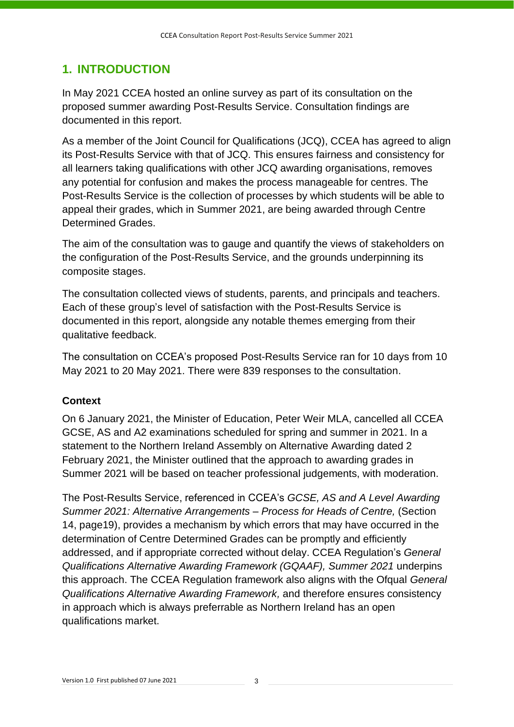# <span id="page-4-0"></span>**1. INTRODUCTION**

In May 2021 CCEA hosted an online survey as part of its consultation on the proposed summer awarding Post-Results Service. Consultation findings are documented in this report.

As a member of the Joint Council for Qualifications (JCQ), CCEA has agreed to align its Post-Results Service with that of JCQ. This ensures fairness and consistency for all learners taking qualifications with other JCQ awarding organisations, removes any potential for confusion and makes the process manageable for centres. The Post-Results Service is the collection of processes by which students will be able to appeal their grades, which in Summer 2021, are being awarded through Centre Determined Grades.

The aim of the consultation was to gauge and quantify the views of stakeholders on the configuration of the Post-Results Service, and the grounds underpinning its composite stages.

The consultation collected views of students, parents, and principals and teachers. Each of these group's level of satisfaction with the Post-Results Service is documented in this report, alongside any notable themes emerging from their qualitative feedback.

The consultation on CCEA's proposed Post-Results Service ran for 10 days from 10 May 2021 to 20 May 2021. There were 839 responses to the consultation.

# <span id="page-4-2"></span><span id="page-4-1"></span>**Context**

On 6 January 2021, the Minister of Education, Peter Weir MLA, cancelled all CCEA GCSE, AS and A2 examinations scheduled for spring and summer in 2021. In a statement to the Northern Ireland Assembly on Alternative Awarding dated 2 February 2021, the Minister outlined that the approach to awarding grades in Summer 2021 will be based on teacher professional judgements, with moderation.

The Post-Results Service, referenced in CCEA's *GCSE, AS and A Level Awarding Summer 2021: Alternative Arrangements – Process for Heads of Centre,* (Section 14, page19), provides a mechanism by which errors that may have occurred in the determination of Centre Determined Grades can be promptly and efficiently addressed, and if appropriate corrected without delay. CCEA Regulation's *General Qualifications Alternative Awarding Framework (GQAAF), Summer 2021* underpins this approach. The CCEA Regulation framework also aligns with the Ofqual *[General](https://assets.publishing.service.gov.uk/government/uploads/system/uploads/attachment_data/file/972545/6768-3_General_qualificatons_alternative_awarding_framework.pdf)  [Qualifications Alternative Awarding Framework,](https://assets.publishing.service.gov.uk/government/uploads/system/uploads/attachment_data/file/972545/6768-3_General_qualificatons_alternative_awarding_framework.pdf)* and therefore ensures consistency in approach which is always preferrable as Northern Ireland has an open qualifications market.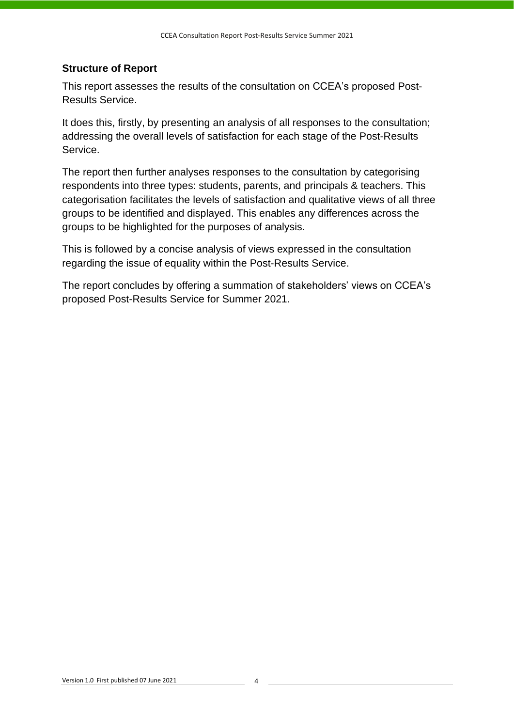#### <span id="page-5-1"></span><span id="page-5-0"></span>**Structure of Report**

This report assesses the results of the consultation on CCEA's proposed Post-Results Service.

It does this, firstly, by presenting an analysis of all responses to the consultation; addressing the overall levels of satisfaction for each stage of the Post-Results Service.

The report then further analyses responses to the consultation by categorising respondents into three types: students, parents, and principals & teachers. This categorisation facilitates the levels of satisfaction and qualitative views of all three groups to be identified and displayed. This enables any differences across the groups to be highlighted for the purposes of analysis.

This is followed by a concise analysis of views expressed in the consultation regarding the issue of equality within the Post-Results Service.

The report concludes by offering a summation of stakeholders' views on CCEA's proposed Post-Results Service for Summer 2021.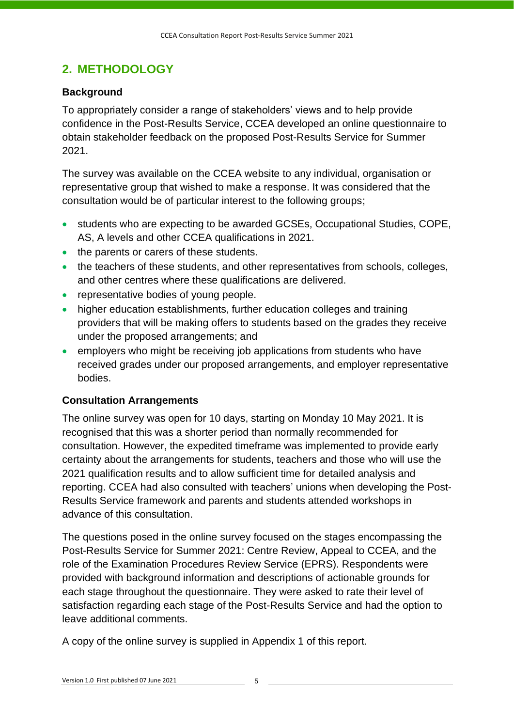# <span id="page-6-0"></span>**2. METHODOLOGY**

### <span id="page-6-3"></span><span id="page-6-1"></span>**Background**

To appropriately consider a range of stakeholders' views and to help provide confidence in the Post-Results Service, CCEA developed an online questionnaire to obtain stakeholder feedback on the proposed Post-Results Service for Summer 2021.

The survey was available on the CCEA website to any individual, organisation or representative group that wished to make a response. It was considered that the consultation would be of particular interest to the following groups;

- students who are expecting to be awarded GCSEs, Occupational Studies, COPE, AS, A levels and other CCEA qualifications in 2021.
- the parents or carers of these students.
- the teachers of these students, and other representatives from schools, colleges, and other centres where these qualifications are delivered.
- representative bodies of young people.
- higher education establishments, further education colleges and training providers that will be making offers to students based on the grades they receive under the proposed arrangements; and
- employers who might be receiving job applications from students who have received grades under our proposed arrangements, and employer representative bodies.

### <span id="page-6-4"></span><span id="page-6-2"></span>**Consultation Arrangements**

The online survey was open for 10 days, starting on Monday 10 May 2021. It is recognised that this was a shorter period than normally recommended for consultation. However, the expedited timeframe was implemented to provide early certainty about the arrangements for students, teachers and those who will use the 2021 qualification results and to allow sufficient time for detailed analysis and reporting. CCEA had also consulted with teachers' unions when developing the Post-Results Service framework and parents and students attended workshops in advance of this consultation.

The questions posed in the online survey focused on the stages encompassing the Post-Results Service for Summer 2021: Centre Review, Appeal to CCEA, and the role of the Examination Procedures Review Service (EPRS). Respondents were provided with background information and descriptions of actionable grounds for each stage throughout the questionnaire. They were asked to rate their level of satisfaction regarding each stage of the Post-Results Service and had the option to leave additional comments.

A copy of the online survey is supplied in Appendix 1 of this report.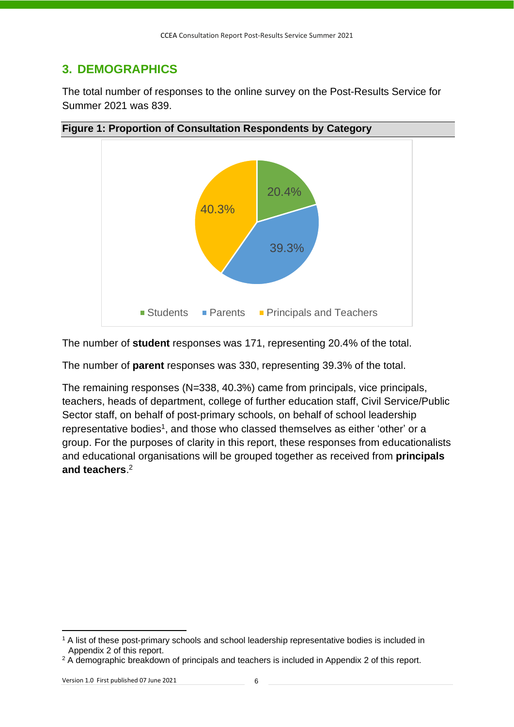# <span id="page-7-0"></span>**3. DEMOGRAPHICS**

The total number of responses to the online survey on the Post-Results Service for Summer 2021 was 839.



**Figure 1: Proportion of Consultation Respondents by Category**

The number of **student** responses was 171, representing 20.4% of the total.

The number of **parent** responses was 330, representing 39.3% of the total.

The remaining responses (N=338, 40.3%) came from principals, vice principals, teachers, heads of department, college of further education staff, Civil Service/Public Sector staff, on behalf of post-primary schools, on behalf of school leadership representative bodies<sup>1</sup>, and those who classed themselves as either 'other' or a group. For the purposes of clarity in this report, these responses from educationalists and educational organisations will be grouped together as received from **principals and teachers**. 2

<sup>&</sup>lt;sup>1</sup> A list of these post-primary schools and school leadership representative bodies is included in Appendix 2 of this report.

<sup>&</sup>lt;sup>2</sup> A demographic breakdown of principals and teachers is included in Appendix 2 of this report.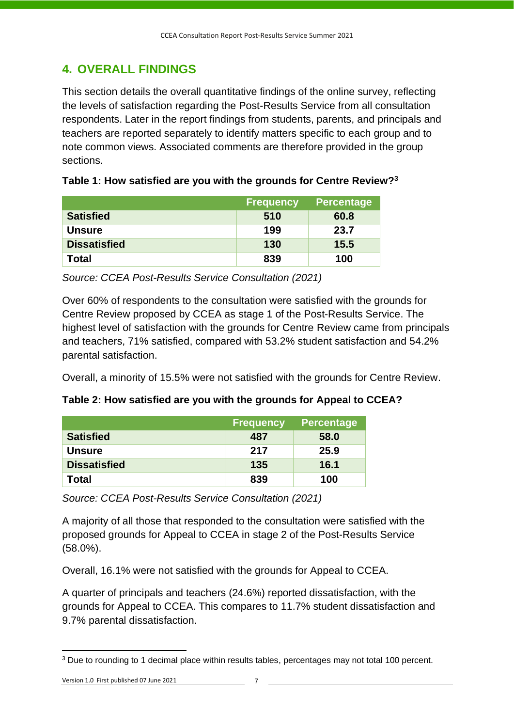# <span id="page-8-0"></span>**4. OVERALL FINDINGS**

This section details the overall quantitative findings of the online survey, reflecting the levels of satisfaction regarding the Post-Results Service from all consultation respondents. Later in the report findings from students, parents, and principals and teachers are reported separately to identify matters specific to each group and to note common views. Associated comments are therefore provided in the group sections.

|                     | <b>Frequency</b> | <b>Percentage</b> |
|---------------------|------------------|-------------------|
| <b>Satisfied</b>    | 510              | 60.8              |
| Unsure              | 199              | 23.7              |
| <b>Dissatisfied</b> | 130              | 15.5              |
| Total               | 839              | 100               |

|  | Table 1: How satisfied are you with the grounds for Centre Review? <sup>3</sup> |  |  |
|--|---------------------------------------------------------------------------------|--|--|
|--|---------------------------------------------------------------------------------|--|--|

*Source: CCEA Post-Results Service Consultation (2021)*

Over 60% of respondents to the consultation were satisfied with the grounds for Centre Review proposed by CCEA as stage 1 of the Post-Results Service. The highest level of satisfaction with the grounds for Centre Review came from principals and teachers, 71% satisfied, compared with 53.2% student satisfaction and 54.2% parental satisfaction.

Overall, a minority of 15.5% were not satisfied with the grounds for Centre Review.

|                     | <b>Frequency</b> | <b>Percentage</b> |
|---------------------|------------------|-------------------|
| <b>Satisfied</b>    | 487              | 58.0              |
| <b>Unsure</b>       | 217              | 25.9              |
| <b>Dissatisfied</b> | 135              | 16.1              |
| Total               | 839              | 100               |

*Source: CCEA Post-Results Service Consultation (2021)*

A majority of all those that responded to the consultation were satisfied with the proposed grounds for Appeal to CCEA in stage 2 of the Post-Results Service (58.0%).

Overall, 16.1% were not satisfied with the grounds for Appeal to CCEA.

A quarter of principals and teachers (24.6%) reported dissatisfaction, with the grounds for Appeal to CCEA. This compares to 11.7% student dissatisfaction and 9.7% parental dissatisfaction.

<sup>&</sup>lt;sup>3</sup> Due to rounding to 1 decimal place within results tables, percentages may not total 100 percent.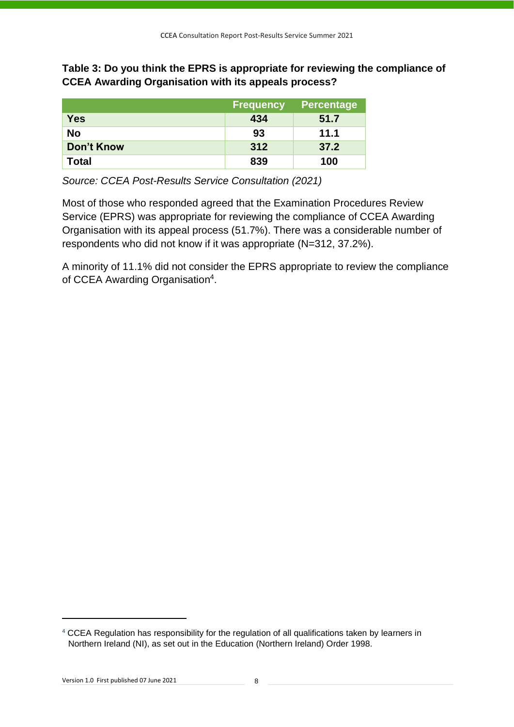**Table 3: Do you think the EPRS is appropriate for reviewing the compliance of CCEA Awarding Organisation with its appeals process?**

|                   | <b>Frequency</b> | <b>Percentage</b> |
|-------------------|------------------|-------------------|
| <b>Yes</b>        | 434              | 51.7              |
| No                | 93               | 11.1              |
| <b>Don't Know</b> | 312              | 37.2              |
| <b>Total</b>      | 839              | 100               |

*Source: CCEA Post-Results Service Consultation (2021)*

Most of those who responded agreed that the Examination Procedures Review Service (EPRS) was appropriate for reviewing the compliance of CCEA Awarding Organisation with its appeal process (51.7%). There was a considerable number of respondents who did not know if it was appropriate (N=312, 37.2%).

A minority of 11.1% did not consider the EPRS appropriate to review the compliance of CCEA Awarding Organisation<sup>4</sup>.

<sup>&</sup>lt;sup>4</sup> CCEA Regulation has responsibility for the regulation of all qualifications taken by learners in Northern Ireland (NI), as set out in the Education (Northern Ireland) Order 1998.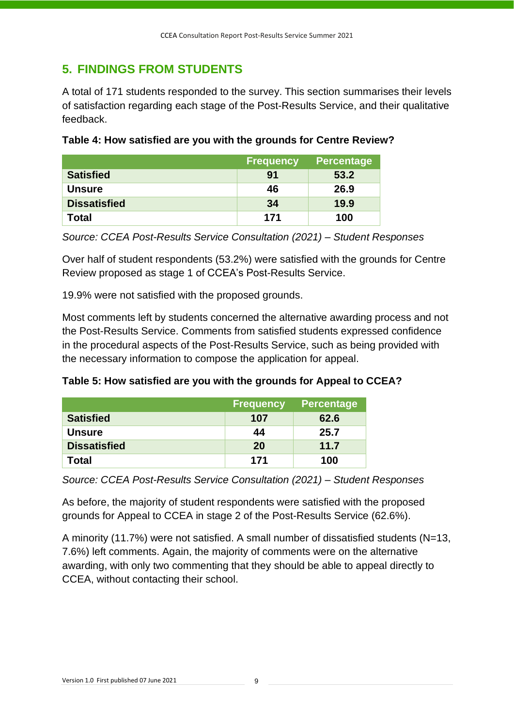# <span id="page-10-0"></span>**5. FINDINGS FROM STUDENTS**

A total of 171 students responded to the survey. This section summarises their levels of satisfaction regarding each stage of the Post-Results Service, and their qualitative feedback.

|                     | <b>Frequency</b> | <b>Percentage</b> |
|---------------------|------------------|-------------------|
| <b>Satisfied</b>    | 91               | 53.2              |
| <b>Unsure</b>       | 46               | 26.9              |
| <b>Dissatisfied</b> | -34              | 19.9              |
| Total               | 171              | 100               |

**Table 4: How satisfied are you with the grounds for Centre Review?**

*Source: CCEA Post-Results Service Consultation (2021) – Student Responses*

Over half of student respondents (53.2%) were satisfied with the grounds for Centre Review proposed as stage 1 of CCEA's Post-Results Service.

19.9% were not satisfied with the proposed grounds.

Most comments left by students concerned the alternative awarding process and not the Post-Results Service. Comments from satisfied students expressed confidence in the procedural aspects of the Post-Results Service, such as being provided with the necessary information to compose the application for appeal.

**Table 5: How satisfied are you with the grounds for Appeal to CCEA?**

|                     | <b>Frequency</b> | <b>Percentage</b> |
|---------------------|------------------|-------------------|
| <b>Satisfied</b>    | 107              | 62.6              |
| <b>Unsure</b>       | 44               | 25.7              |
| <b>Dissatisfied</b> | 20               | 11.7              |
| Total               | 171              | 100               |

*Source: CCEA Post-Results Service Consultation (2021) – Student Responses*

As before, the majority of student respondents were satisfied with the proposed grounds for Appeal to CCEA in stage 2 of the Post-Results Service (62.6%).

A minority (11.7%) were not satisfied. A small number of dissatisfied students (N=13, 7.6%) left comments. Again, the majority of comments were on the alternative awarding, with only two commenting that they should be able to appeal directly to CCEA, without contacting their school.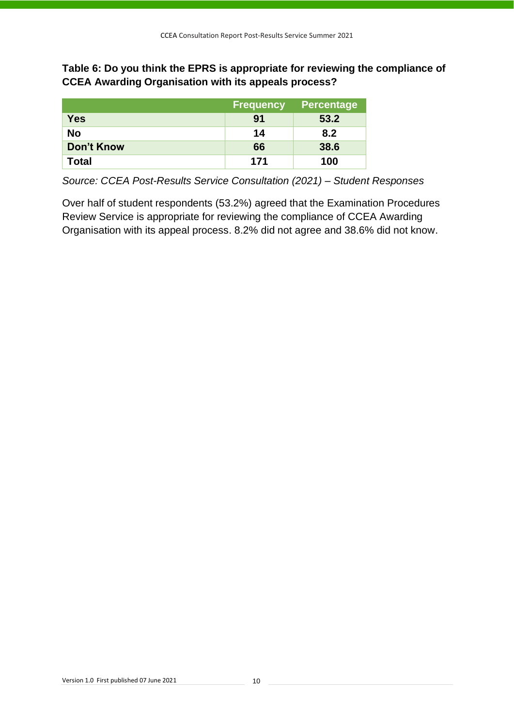**Table 6: Do you think the EPRS is appropriate for reviewing the compliance of CCEA Awarding Organisation with its appeals process?**

|                   | <b>Frequency</b> | <b>Percentage</b> |
|-------------------|------------------|-------------------|
| <b>Yes</b>        | 91               | 53.2              |
| No                | 14               | 8.2               |
| <b>Don't Know</b> | 66               | 38.6              |
| <b>Total</b>      | 171              | 100               |

*Source: CCEA Post-Results Service Consultation (2021) – Student Responses*

Over half of student respondents (53.2%) agreed that the Examination Procedures Review Service is appropriate for reviewing the compliance of CCEA Awarding Organisation with its appeal process. 8.2% did not agree and 38.6% did not know.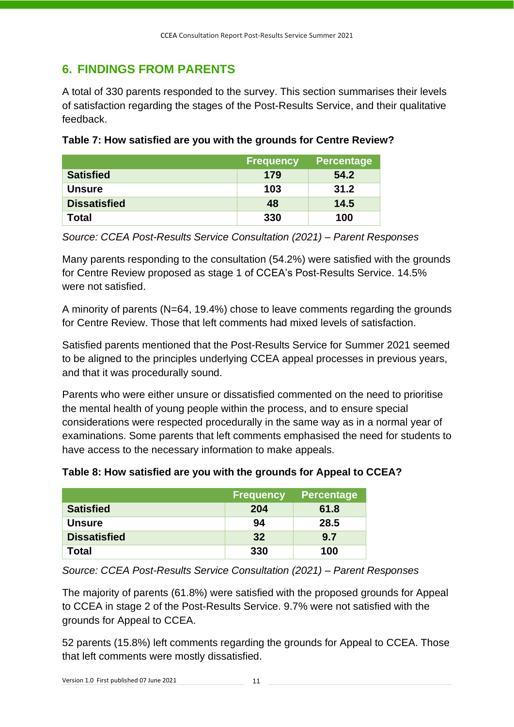# <span id="page-12-0"></span>**6. FINDINGS FROM PARENTS**

A total of 330 parents responded to the survey. This section summarises their levels of satisfaction regarding the stages of the Post-Results Service, and their qualitative feedback.

|                     | <b>Frequency</b> | <b>Percentage</b> |
|---------------------|------------------|-------------------|
| <b>Satisfied</b>    | 179              | 54.2              |
| <b>Unsure</b>       | 103              | 31.2              |
| <b>Dissatisfied</b> | 48               | 14.5              |
| Total               | 330              | 100               |

**Table 7: How satisfied are you with the grounds for Centre Review?**

*Source: CCEA Post-Results Service Consultation (2021) – Parent Responses*

Many parents responding to the consultation (54.2%) were satisfied with the grounds for Centre Review proposed as stage 1 of CCEA's Post-Results Service. 14.5% were not satisfied.

A minority of parents (N=64, 19.4%) chose to leave comments regarding the grounds for Centre Review. Those that left comments had mixed levels of satisfaction.

Satisfied parents mentioned that the Post-Results Service for Summer 2021 seemed to be aligned to the principles underlying CCEA appeal processes in previous years, and that it was procedurally sound.

Parents who were either unsure or dissatisfied commented on the need to prioritise the mental health of young people within the process, and to ensure special considerations were respected procedurally in the same way as in a normal year of examinations. Some parents that left comments emphasised the need for students to have access to the necessary information to make appeals.

|                     | <b>Frequency</b> | <b>Percentage</b> |
|---------------------|------------------|-------------------|
| <b>Satisfied</b>    | 204              | 61.8              |
| <b>Unsure</b>       | 94               | 28.5              |
| <b>Dissatisfied</b> | 32               | 9.7               |
| Total               | 330              | 100               |

*Source: CCEA Post-Results Service Consultation (2021) – Parent Responses*

The majority of parents (61.8%) were satisfied with the proposed grounds for Appeal to CCEA in stage 2 of the Post-Results Service. 9.7% were not satisfied with the grounds for Appeal to CCEA.

52 parents (15.8%) left comments regarding the grounds for Appeal to CCEA. Those that left comments were mostly dissatisfied.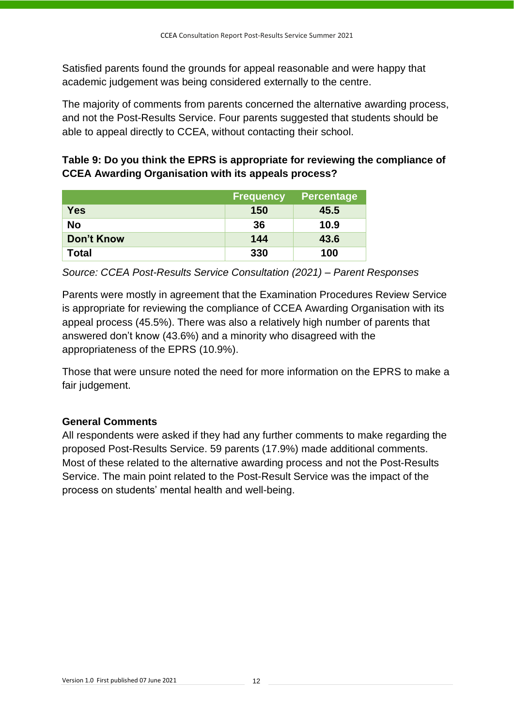Satisfied parents found the grounds for appeal reasonable and were happy that academic judgement was being considered externally to the centre.

The majority of comments from parents concerned the alternative awarding process, and not the Post-Results Service. Four parents suggested that students should be able to appeal directly to CCEA, without contacting their school.

**Table 9: Do you think the EPRS is appropriate for reviewing the compliance of CCEA Awarding Organisation with its appeals process?**

|                   | <b>Frequency</b> | <b>Percentage</b> |
|-------------------|------------------|-------------------|
| <b>Yes</b>        | 150              | 45.5              |
| <b>No</b>         | 36               | 10.9              |
| <b>Don't Know</b> | 144              | 43.6              |
| Total             | 330              | 100               |

*Source: CCEA Post-Results Service Consultation (2021) – Parent Responses*

Parents were mostly in agreement that the Examination Procedures Review Service is appropriate for reviewing the compliance of CCEA Awarding Organisation with its appeal process (45.5%). There was also a relatively high number of parents that answered don't know (43.6%) and a minority who disagreed with the appropriateness of the EPRS (10.9%).

Those that were unsure noted the need for more information on the EPRS to make a fair judgement.

### **General Comments**

All respondents were asked if they had any further comments to make regarding the proposed Post-Results Service. 59 parents (17.9%) made additional comments. Most of these related to the alternative awarding process and not the Post-Results Service. The main point related to the Post-Result Service was the impact of the process on students' mental health and well-being.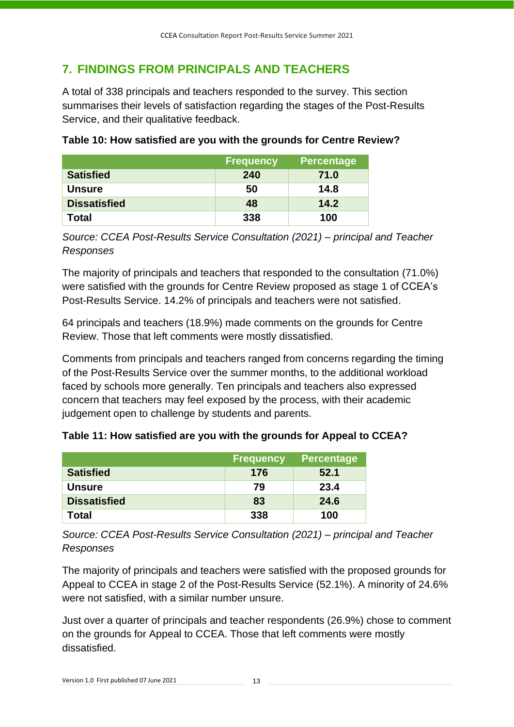# <span id="page-14-1"></span><span id="page-14-0"></span>**7. FINDINGS FROM PRINCIPALS AND TEACHERS**

A total of 338 principals and teachers responded to the survey. This section summarises their levels of satisfaction regarding the stages of the Post-Results Service, and their qualitative feedback.

|                     | <b>Frequency</b> | <b>Percentage</b> |
|---------------------|------------------|-------------------|
| <b>Satisfied</b>    | 240              | 71.0              |
| <b>Unsure</b>       | 50               | 14.8              |
| <b>Dissatisfied</b> | 48               | 14.2              |
| Total               | 338              | 100               |

## **Table 10: How satisfied are you with the grounds for Centre Review?**

*Source: CCEA Post-Results Service Consultation (2021) – principal and Teacher Responses*

The majority of principals and teachers that responded to the consultation (71.0%) were satisfied with the grounds for Centre Review proposed as stage 1 of CCEA's Post-Results Service. 14.2% of principals and teachers were not satisfied.

64 principals and teachers (18.9%) made comments on the grounds for Centre Review. Those that left comments were mostly dissatisfied.

Comments from principals and teachers ranged from concerns regarding the timing of the Post-Results Service over the summer months, to the additional workload faced by schools more generally. Ten principals and teachers also expressed concern that teachers may feel exposed by the process, with their academic judgement open to challenge by students and parents.

| Table 11: How satisfied are you with the grounds for Appeal to CCEA? |  |  |  |
|----------------------------------------------------------------------|--|--|--|
|----------------------------------------------------------------------|--|--|--|

|                     | <b>Frequency</b> | <b>Percentage</b> |
|---------------------|------------------|-------------------|
| <b>Satisfied</b>    | 176              | 52.1              |
| <b>Unsure</b>       | 79               | 23.4              |
| <b>Dissatisfied</b> | 83               | 24.6              |
| Total               | 338              | 100               |

*Source: CCEA Post-Results Service Consultation (2021) – principal and Teacher Responses*

The majority of principals and teachers were satisfied with the proposed grounds for Appeal to CCEA in stage 2 of the Post-Results Service (52.1%). A minority of 24.6% were not satisfied, with a similar number unsure.

Just over a quarter of principals and teacher respondents (26.9%) chose to comment on the grounds for Appeal to CCEA. Those that left comments were mostly dissatisfied.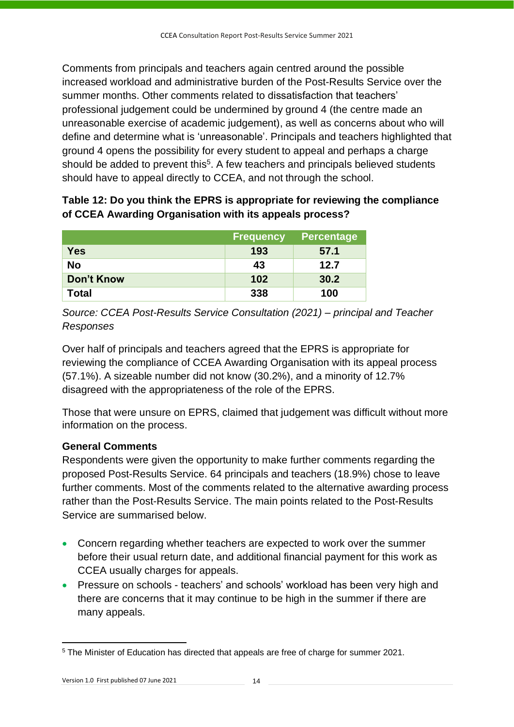Comments from principals and teachers again centred around the possible increased workload and administrative burden of the Post-Results Service over the summer months. Other comments related to dissatisfaction that teachers' professional judgement could be undermined by ground 4 (the centre made an unreasonable exercise of academic judgement), as well as concerns about who will define and determine what is 'unreasonable'. Principals and teachers highlighted that ground 4 opens the possibility for every student to appeal and perhaps a charge should be added to prevent this<sup>5</sup>. A few teachers and principals believed students should have to appeal directly to CCEA, and not through the school.

# **Table 12: Do you think the EPRS is appropriate for reviewing the compliance of CCEA Awarding Organisation with its appeals process?**

|                   | <b>Frequency</b> | <b>Percentage</b> |
|-------------------|------------------|-------------------|
| <b>Yes</b>        | 193              | 57.1              |
| <b>No</b>         | 43               | 12.7              |
| <b>Don't Know</b> | 102              | 30.2              |
| Total             | 338              | 100               |

*Source: CCEA Post-Results Service Consultation (2021) – principal and Teacher Responses*

Over half of principals and teachers agreed that the EPRS is appropriate for reviewing the compliance of CCEA Awarding Organisation with its appeal process (57.1%). A sizeable number did not know (30.2%), and a minority of 12.7% disagreed with the appropriateness of the role of the EPRS.

Those that were unsure on EPRS, claimed that judgement was difficult without more information on the process.

# **General Comments**

Respondents were given the opportunity to make further comments regarding the proposed Post-Results Service. 64 principals and teachers (18.9%) chose to leave further comments. Most of the comments related to the alternative awarding process rather than the Post-Results Service. The main points related to the Post-Results Service are summarised below.

- Concern regarding whether teachers are expected to work over the summer before their usual return date, and additional financial payment for this work as CCEA usually charges for appeals.
- Pressure on schools teachers' and schools' workload has been very high and there are concerns that it may continue to be high in the summer if there are many appeals.

<sup>5</sup> The Minister of Education has directed that appeals are free of charge for summer 2021.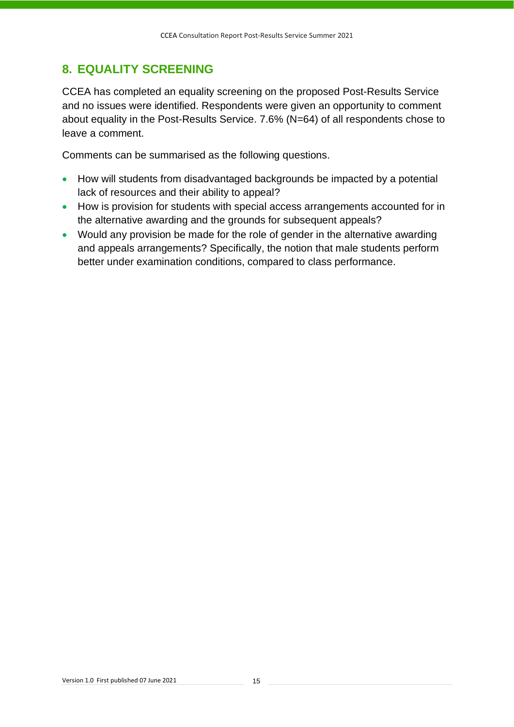# <span id="page-16-1"></span><span id="page-16-0"></span>**8. EQUALITY SCREENING**

CCEA has completed an equality screening on the proposed Post-Results Service and no issues were identified. Respondents were given an opportunity to comment about equality in the Post-Results Service. 7.6% (N=64) of all respondents chose to leave a comment.

Comments can be summarised as the following questions.

- How will students from disadvantaged backgrounds be impacted by a potential lack of resources and their ability to appeal?
- How is provision for students with special access arrangements accounted for in the alternative awarding and the grounds for subsequent appeals?
- Would any provision be made for the role of gender in the alternative awarding and appeals arrangements? Specifically, the notion that male students perform better under examination conditions, compared to class performance.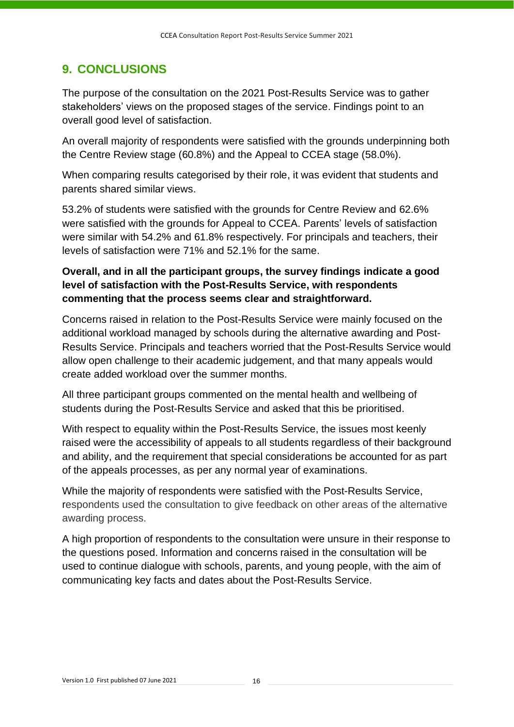# <span id="page-17-1"></span><span id="page-17-0"></span>**9. CONCLUSIONS**

The purpose of the consultation on the 2021 Post-Results Service was to gather stakeholders' views on the proposed stages of the service. Findings point to an overall good level of satisfaction.

An overall majority of respondents were satisfied with the grounds underpinning both the Centre Review stage (60.8%) and the Appeal to CCEA stage (58.0%).

When comparing results categorised by their role, it was evident that students and parents shared similar views.

53.2% of students were satisfied with the grounds for Centre Review and 62.6% were satisfied with the grounds for Appeal to CCEA. Parents' levels of satisfaction were similar with 54.2% and 61.8% respectively. For principals and teachers, their levels of satisfaction were 71% and 52.1% for the same.

# **Overall, and in all the participant groups, the survey findings indicate a good level of satisfaction with the Post-Results Service, with respondents commenting that the process seems clear and straightforward.**

Concerns raised in relation to the Post-Results Service were mainly focused on the additional workload managed by schools during the alternative awarding and Post-Results Service. Principals and teachers worried that the Post-Results Service would allow open challenge to their academic judgement, and that many appeals would create added workload over the summer months.

All three participant groups commented on the mental health and wellbeing of students during the Post-Results Service and asked that this be prioritised.

With respect to equality within the Post-Results Service, the issues most keenly raised were the accessibility of appeals to all students regardless of their background and ability, and the requirement that special considerations be accounted for as part of the appeals processes, as per any normal year of examinations.

While the majority of respondents were satisfied with the Post-Results Service, respondents used the consultation to give feedback on other areas of the alternative awarding process.

A high proportion of respondents to the consultation were unsure in their response to the questions posed. Information and concerns raised in the consultation will be used to continue dialogue with schools, parents, and young people, with the aim of communicating key facts and dates about the Post-Results Service.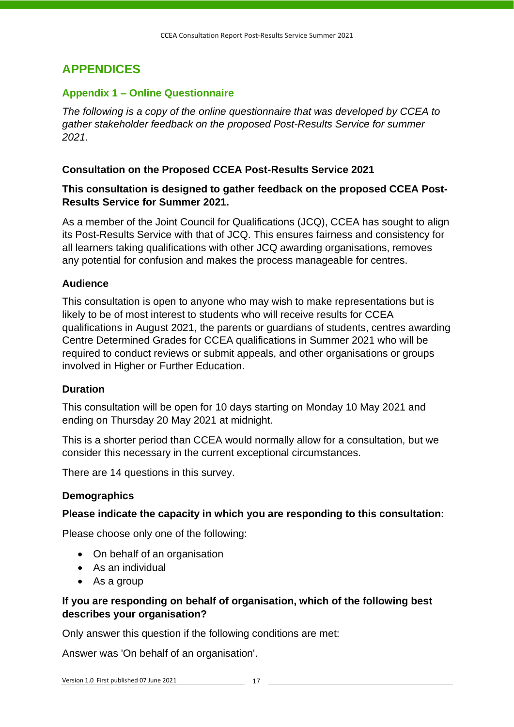# <span id="page-18-2"></span><span id="page-18-0"></span>**APPENDICES**

#### <span id="page-18-3"></span><span id="page-18-1"></span>**Appendix 1 – Online Questionnaire**

*The following is a copy of the online questionnaire that was developed by CCEA to gather stakeholder feedback on the proposed Post-Results Service for summer 2021.*

#### **Consultation on the Proposed CCEA Post-Results Service 2021**

#### **This consultation is designed to gather feedback on the proposed CCEA Post-Results Service for Summer 2021.**

As a member of the Joint Council for Qualifications (JCQ), CCEA has sought to align its Post-Results Service with that of JCQ. This ensures fairness and consistency for all learners taking qualifications with other JCQ awarding organisations, removes any potential for confusion and makes the process manageable for centres.

#### **Audience**

This consultation is open to anyone who may wish to make representations but is likely to be of most interest to students who will receive results for CCEA qualifications in August 2021, the parents or guardians of students, centres awarding Centre Determined Grades for CCEA qualifications in Summer 2021 who will be required to conduct reviews or submit appeals, and other organisations or groups involved in Higher or Further Education.

#### **Duration**

This consultation will be open for 10 days starting on Monday 10 May 2021 and ending on Thursday 20 May 2021 at midnight.

This is a shorter period than CCEA would normally allow for a consultation, but we consider this necessary in the current exceptional circumstances.

There are 14 questions in this survey.

#### **Demographics**

#### **Please indicate the capacity in which you are responding to this consultation:**

Please choose only one of the following:

- On behalf of an organisation
- As an individual
- As a group

#### **If you are responding on behalf of organisation, which of the following best describes your organisation?**

Only answer this question if the following conditions are met:

Answer was 'On behalf of an organisation'.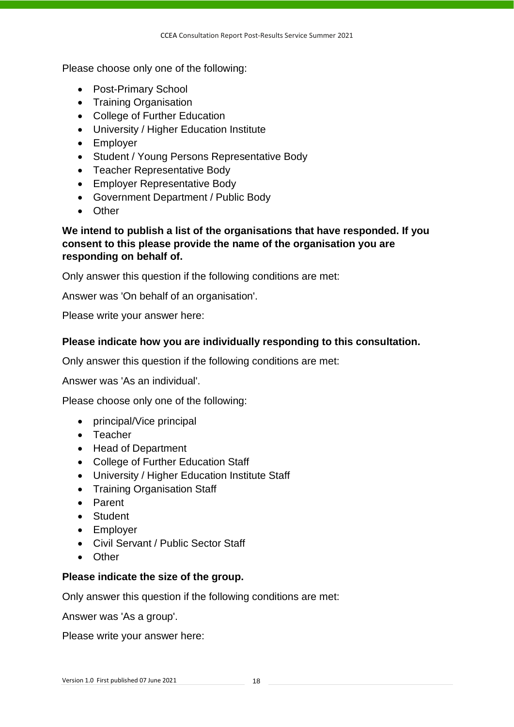Please choose only one of the following:

- Post-Primary School
- Training Organisation
- College of Further Education
- University / Higher Education Institute
- Employer
- Student / Young Persons Representative Body
- Teacher Representative Body
- Employer Representative Body
- Government Department / Public Body
- Other

#### **We intend to publish a list of the organisations that have responded. If you consent to this please provide the name of the organisation you are responding on behalf of.**

Only answer this question if the following conditions are met:

Answer was 'On behalf of an organisation'.

Please write your answer here:

#### **Please indicate how you are individually responding to this consultation.**

Only answer this question if the following conditions are met:

Answer was 'As an individual'.

Please choose only one of the following:

- principal/Vice principal
- Teacher
- Head of Department
- College of Further Education Staff
- University / Higher Education Institute Staff
- Training Organisation Staff
- Parent
- Student
- Employer
- Civil Servant / Public Sector Staff
- Other

#### **Please indicate the size of the group.**

Only answer this question if the following conditions are met:

Answer was 'As a group'.

Please write your answer here: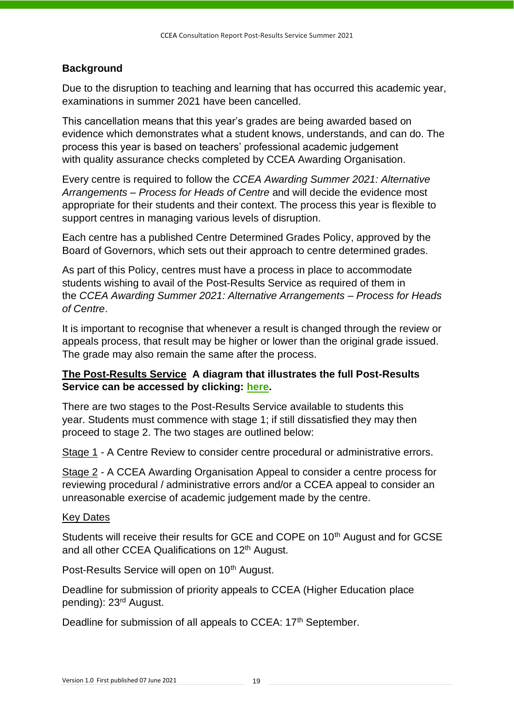### **Background**

Due to the disruption to teaching and learning that has occurred this academic year, examinations in summer 2021 have been cancelled.

This cancellation means that this year's grades are being awarded based on evidence which demonstrates what a student knows, understands, and can do. The process this year is based on teachers' professional academic judgement with quality assurance checks completed by CCEA Awarding Organisation.

Every centre is required to follow the *CCEA Awarding Summer 2021: Alternative Arrangements – Process for Heads of Centre* and will decide the evidence most appropriate for their students and their context. The process this year is flexible to support centres in managing various levels of disruption.

Each centre has a published Centre Determined Grades Policy, approved by the Board of Governors, which sets out their approach to centre determined grades.

As part of this Policy, centres must have a process in place to accommodate students wishing to avail of the Post-Results Service as required of them in the *CCEA Awarding Summer 2021: Alternative Arrangements – Process for Heads of Centre*.

It is important to recognise that whenever a result is changed through the review or appeals process, that result may be higher or lower than the original grade issued. The grade may also remain the same after the process.

### **The Post-Results Service A diagram that illustrates the full Post-Results Service can be accessed by clicking: [here.](https://research.ccea.org.uk/upload/surveys/994318/files/CCEA-Appeals-Process-Diagram-10May21.pdf)**

There are two stages to the Post-Results Service available to students this year. Students must commence with stage 1; if still dissatisfied they may then proceed to stage 2. The two stages are outlined below:

Stage 1 - A Centre Review to consider centre procedural or administrative errors.

Stage 2 - A CCEA Awarding Organisation Appeal to consider a centre process for reviewing procedural / administrative errors and/or a CCEA appeal to consider an unreasonable exercise of academic judgement made by the centre.

#### Key Dates

Students will receive their results for GCE and COPE on 10<sup>th</sup> August and for GCSE and all other CCEA Qualifications on 12<sup>th</sup> August.

Post-Results Service will open on 10<sup>th</sup> August.

Deadline for submission of priority appeals to CCEA (Higher Education place pending): 23rd August.

Deadline for submission of all appeals to CCEA: 17<sup>th</sup> September.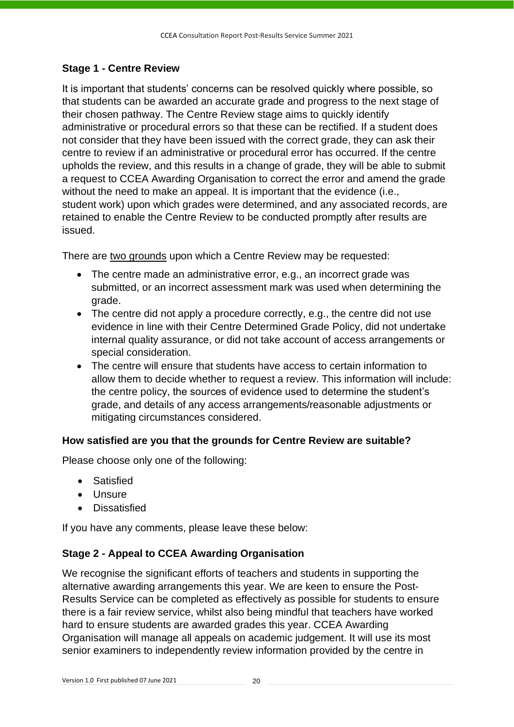## **Stage 1 - Centre Review**

It is important that students' concerns can be resolved quickly where possible, so that students can be awarded an accurate grade and progress to the next stage of their chosen pathway. The Centre Review stage aims to quickly identify administrative or procedural errors so that these can be rectified. If a student does not consider that they have been issued with the correct grade, they can ask their centre to review if an administrative or procedural error has occurred. If the centre upholds the review, and this results in a change of grade, they will be able to submit a request to CCEA Awarding Organisation to correct the error and amend the grade without the need to make an appeal. It is important that the evidence (i.e., student work) upon which grades were determined, and any associated records, are retained to enable the Centre Review to be conducted promptly after results are issued.

There are two grounds upon which a Centre Review may be requested:

- The centre made an administrative error, e.g., an incorrect grade was submitted, or an incorrect assessment mark was used when determining the grade.
- The centre did not apply a procedure correctly, e.g., the centre did not use evidence in line with their Centre Determined Grade Policy, did not undertake internal quality assurance, or did not take account of access arrangements or special consideration.
- The centre will ensure that students have access to certain information to allow them to decide whether to request a review. This information will include: the centre policy, the sources of evidence used to determine the student's grade, and details of any access arrangements/reasonable adjustments or mitigating circumstances considered.

### **How satisfied are you that the grounds for Centre Review are suitable?**

Please choose only one of the following:

- Satisfied
- Unsure
- Dissatisfied

If you have any comments, please leave these below:

### **Stage 2 - Appeal to CCEA Awarding Organisation**

We recognise the significant efforts of teachers and students in supporting the alternative awarding arrangements this year. We are keen to ensure the Post-Results Service can be completed as effectively as possible for students to ensure there is a fair review service, whilst also being mindful that teachers have worked hard to ensure students are awarded grades this year. CCEA Awarding Organisation will manage all appeals on academic judgement. It will use its most senior examiners to independently review information provided by the centre in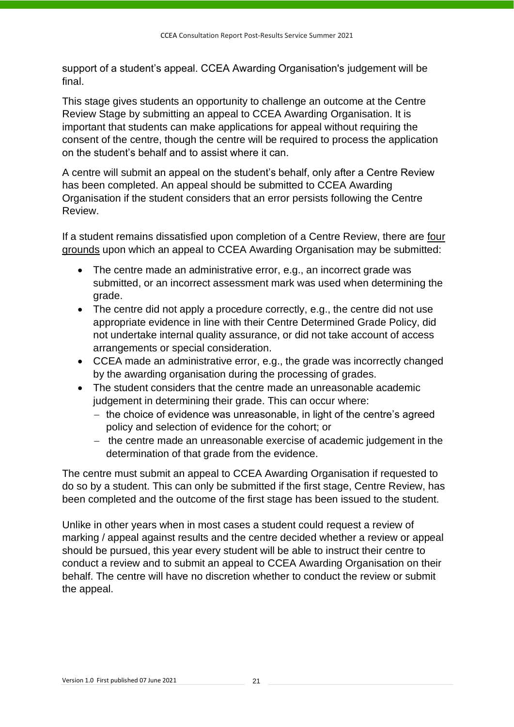support of a student's appeal. CCEA Awarding Organisation's judgement will be final.

This stage gives students an opportunity to challenge an outcome at the Centre Review Stage by submitting an appeal to CCEA Awarding Organisation. It is important that students can make applications for appeal without requiring the consent of the centre, though the centre will be required to process the application on the student's behalf and to assist where it can.

A centre will submit an appeal on the student's behalf, only after a Centre Review has been completed. An appeal should be submitted to CCEA Awarding Organisation if the student considers that an error persists following the Centre Review.

If a student remains dissatisfied upon completion of a Centre Review, there are four grounds upon which an appeal to CCEA Awarding Organisation may be submitted:

- The centre made an administrative error, e.g., an incorrect grade was submitted, or an incorrect assessment mark was used when determining the grade.
- The centre did not apply a procedure correctly, e.g., the centre did not use appropriate evidence in line with their Centre Determined Grade Policy, did not undertake internal quality assurance, or did not take account of access arrangements or special consideration.
- CCEA made an administrative error, e.g., the grade was incorrectly changed by the awarding organisation during the processing of grades.
- The student considers that the centre made an unreasonable academic judgement in determining their grade. This can occur where:
	- − the choice of evidence was unreasonable, in light of the centre's agreed policy and selection of evidence for the cohort; or
	- − the centre made an unreasonable exercise of academic judgement in the determination of that grade from the evidence.

The centre must submit an appeal to CCEA Awarding Organisation if requested to do so by a student. This can only be submitted if the first stage, Centre Review, has been completed and the outcome of the first stage has been issued to the student.

Unlike in other years when in most cases a student could request a review of marking / appeal against results and the centre decided whether a review or appeal should be pursued, this year every student will be able to instruct their centre to conduct a review and to submit an appeal to CCEA Awarding Organisation on their behalf. The centre will have no discretion whether to conduct the review or submit the appeal.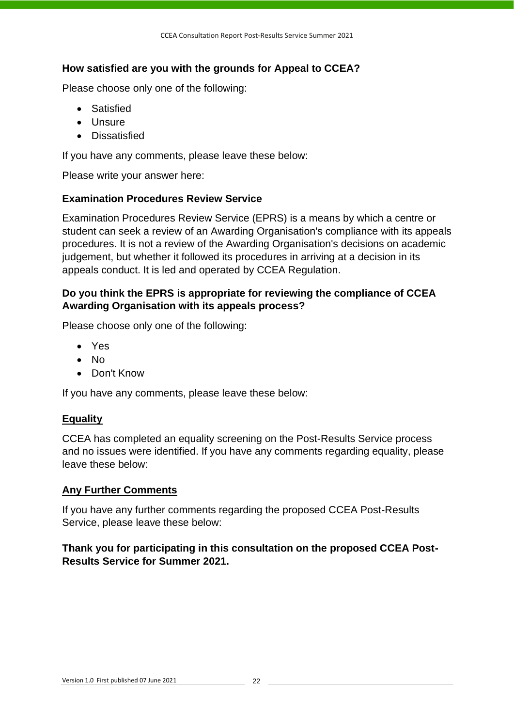# **How satisfied are you with the grounds for Appeal to CCEA?**

Please choose only one of the following:

- Satisfied
- Unsure
- Dissatisfied

If you have any comments, please leave these below:

Please write your answer here:

### **Examination Procedures Review Service**

Examination Procedures Review Service (EPRS) is a means by which a centre or student can seek a review of an Awarding Organisation's compliance with its appeals procedures. It is not a review of the Awarding Organisation's decisions on academic judgement, but whether it followed its procedures in arriving at a decision in its appeals conduct. It is led and operated by CCEA Regulation.

### **Do you think the EPRS is appropriate for reviewing the compliance of CCEA Awarding Organisation with its appeals process?**

Please choose only one of the following:

- Yes
- No
- Don't Know

If you have any comments, please leave these below:

### **Equality**

CCEA has completed an equality screening on the Post-Results Service process and no issues were identified. If you have any comments regarding equality, please leave these below:

### **Any Further Comments**

If you have any further comments regarding the proposed CCEA Post-Results Service, please leave these below:

### **Thank you for participating in this consultation on the proposed CCEA Post-Results Service for Summer 2021.**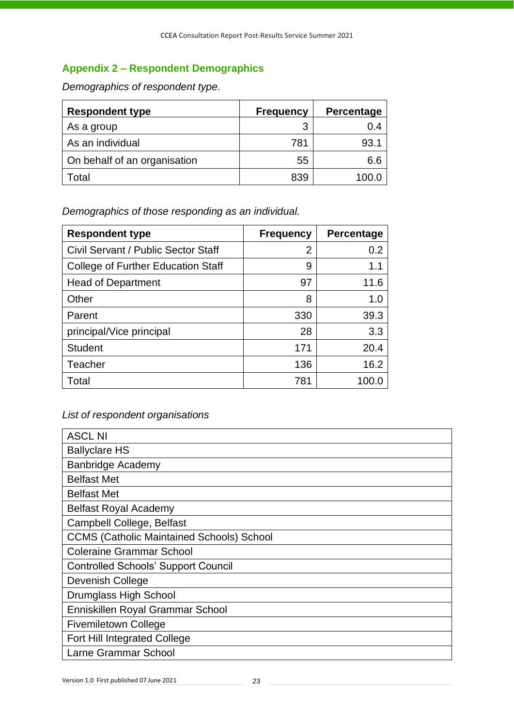# <span id="page-24-1"></span><span id="page-24-0"></span>**Appendix 2 – Respondent Demographics**

*Demographics of respondent type.*

| <b>Respondent type</b>       | <b>Frequency</b> | Percentage |
|------------------------------|------------------|------------|
| As a group                   | 3                | 0.4        |
| As an individual             | 781              | 93.1       |
| On behalf of an organisation | 55               | 6.6        |
| Total                        | 839              | 100.0      |

*Demographics of those responding as an individual.*

| <b>Respondent type</b>                    | <b>Frequency</b> | Percentage |
|-------------------------------------------|------------------|------------|
| Civil Servant / Public Sector Staff       | $\overline{2}$   | 0.2        |
| <b>College of Further Education Staff</b> | 9                | 1.1        |
| <b>Head of Department</b>                 | 97               | 11.6       |
| Other                                     | 8                | 1.0        |
| Parent                                    | 330              | 39.3       |
| principal/Vice principal                  | 28               | 3.3        |
| <b>Student</b>                            | 171              | 20.4       |
| Teacher                                   | 136              | 16.2       |
| Total                                     | 781              | 100.0      |

### *List of respondent organisations*

| <b>ASCL NI</b>                                   |
|--------------------------------------------------|
| <b>Ballyclare HS</b>                             |
| <b>Banbridge Academy</b>                         |
| <b>Belfast Met</b>                               |
| <b>Belfast Met</b>                               |
| <b>Belfast Royal Academy</b>                     |
| Campbell College, Belfast                        |
| <b>CCMS (Catholic Maintained Schools) School</b> |
| <b>Coleraine Grammar School</b>                  |
| <b>Controlled Schools' Support Council</b>       |
| Devenish College                                 |
| Drumglass High School                            |
| Enniskillen Royal Grammar School                 |
| <b>Fivemiletown College</b>                      |
| <b>Fort Hill Integrated College</b>              |
| Larne Grammar School                             |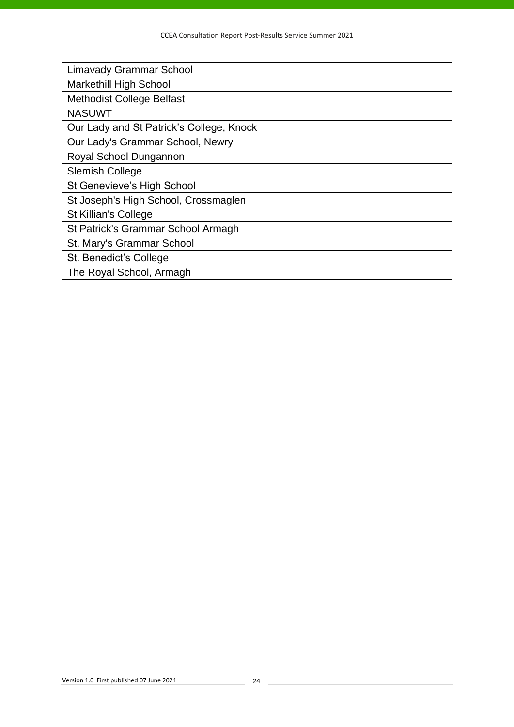| <b>Limavady Grammar School</b>           |
|------------------------------------------|
| <b>Markethill High School</b>            |
| <b>Methodist College Belfast</b>         |
| <b>NASUWT</b>                            |
| Our Lady and St Patrick's College, Knock |
| Our Lady's Grammar School, Newry         |
| Royal School Dungannon                   |
| <b>Slemish College</b>                   |
| St Genevieve's High School               |
| St Joseph's High School, Crossmaglen     |
| St Killian's College                     |
| St Patrick's Grammar School Armagh       |
| St. Mary's Grammar School                |
| St. Benedict's College                   |
| The Royal School, Armagh                 |